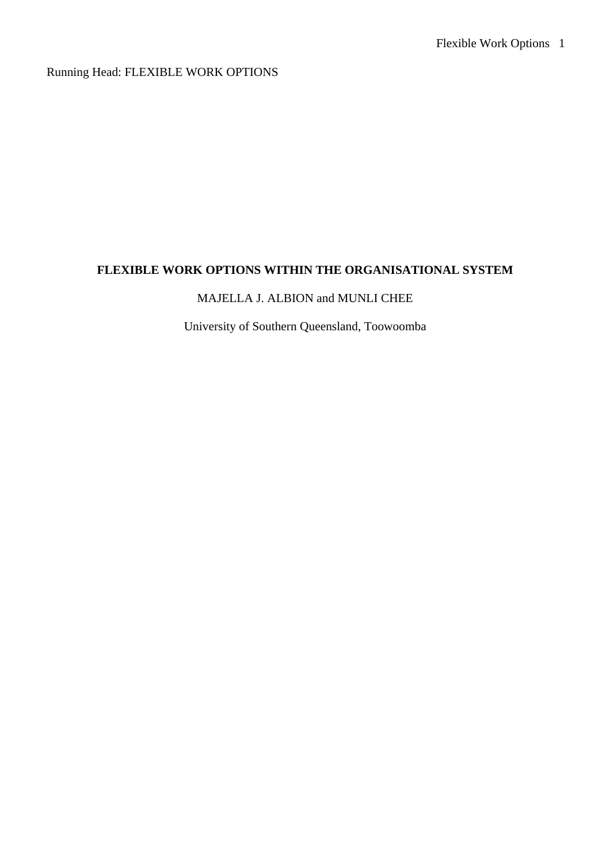Running Head: FLEXIBLE WORK OPTIONS

# **FLEXIBLE WORK OPTIONS WITHIN THE ORGANISATIONAL SYSTEM**

## MAJELLA J. ALBION and MUNLI CHEE

University of Southern Queensland, Toowoomba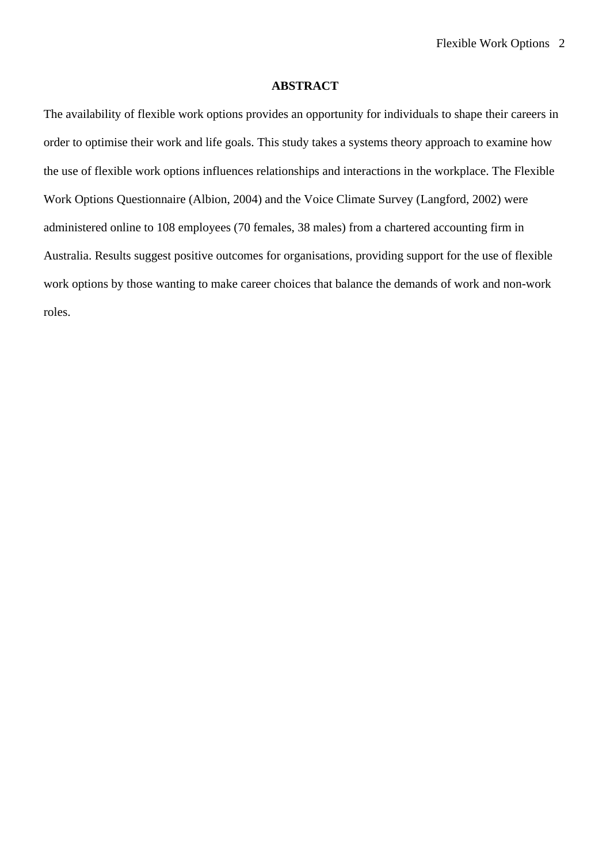## **ABSTRACT**

The availability of flexible work options provides an opportunity for individuals to shape their careers in order to optimise their work and life goals. This study takes a systems theory approach to examine how the use of flexible work options influences relationships and interactions in the workplace. The Flexible Work Options Questionnaire (Albion, 2004) and the Voice Climate Survey (Langford, 2002) were administered online to 108 employees (70 females, 38 males) from a chartered accounting firm in Australia. Results suggest positive outcomes for organisations, providing support for the use of flexible work options by those wanting to make career choices that balance the demands of work and non-work roles.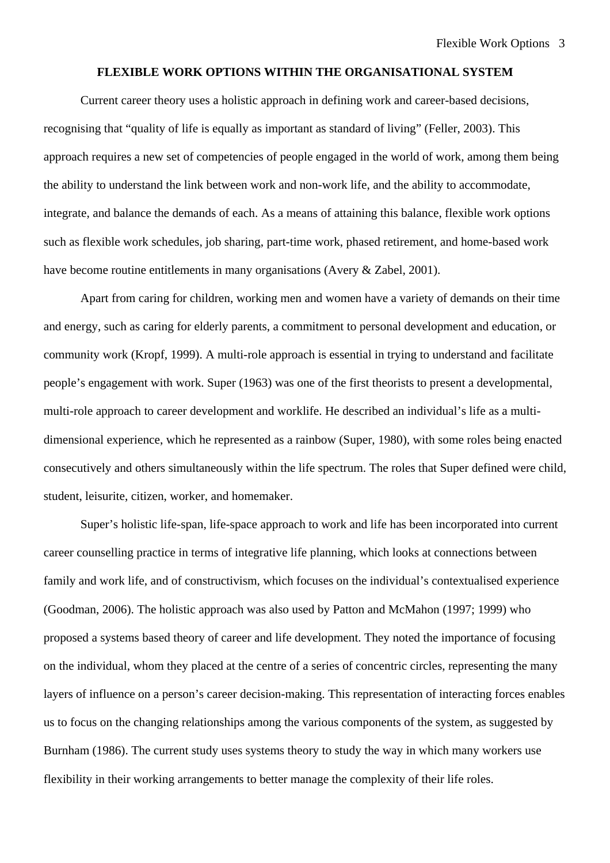## **FLEXIBLE WORK OPTIONS WITHIN THE ORGANISATIONAL SYSTEM**

Current career theory uses a holistic approach in defining work and career-based decisions, recognising that "quality of life is equally as important as standard of living" (Feller, 2003). This approach requires a new set of competencies of people engaged in the world of work, among them being the ability to understand the link between work and non-work life, and the ability to accommodate, integrate, and balance the demands of each. As a means of attaining this balance, flexible work options such as flexible work schedules, job sharing, part-time work, phased retirement, and home-based work have become routine entitlements in many organisations (Avery & Zabel, 2001).

Apart from caring for children, working men and women have a variety of demands on their time and energy, such as caring for elderly parents, a commitment to personal development and education, or community work (Kropf, 1999). A multi-role approach is essential in trying to understand and facilitate people's engagement with work. Super (1963) was one of the first theorists to present a developmental, multi-role approach to career development and worklife. He described an individual's life as a multidimensional experience, which he represented as a rainbow (Super, 1980), with some roles being enacted consecutively and others simultaneously within the life spectrum. The roles that Super defined were child, student, leisurite, citizen, worker, and homemaker.

Super's holistic life-span, life-space approach to work and life has been incorporated into current career counselling practice in terms of integrative life planning, which looks at connections between family and work life, and of constructivism, which focuses on the individual's contextualised experience (Goodman, 2006). The holistic approach was also used by Patton and McMahon (1997; 1999) who proposed a systems based theory of career and life development. They noted the importance of focusing on the individual, whom they placed at the centre of a series of concentric circles, representing the many layers of influence on a person's career decision-making. This representation of interacting forces enables us to focus on the changing relationships among the various components of the system, as suggested by Burnham (1986). The current study uses systems theory to study the way in which many workers use flexibility in their working arrangements to better manage the complexity of their life roles.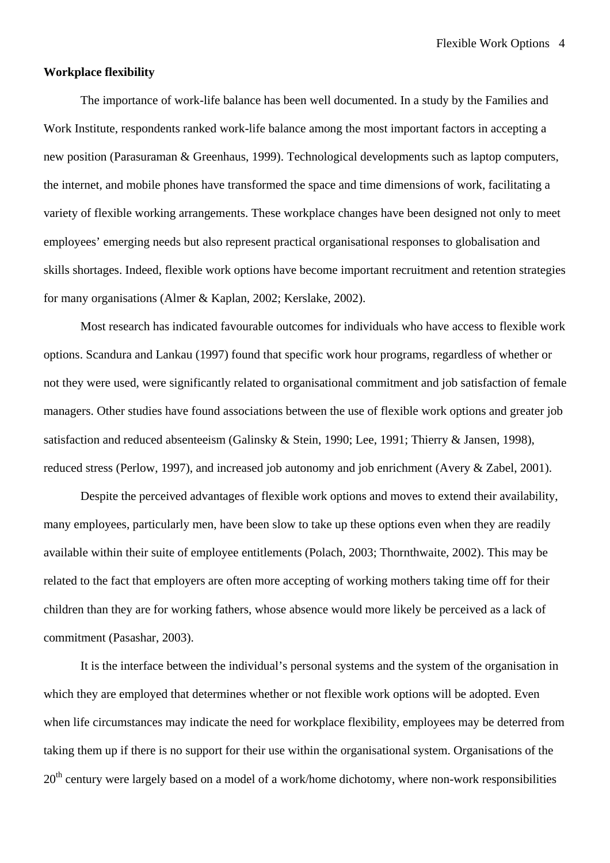#### **Workplace flexibility**

The importance of work-life balance has been well documented. In a study by the Families and Work Institute, respondents ranked work-life balance among the most important factors in accepting a new position (Parasuraman & Greenhaus, 1999). Technological developments such as laptop computers, the internet, and mobile phones have transformed the space and time dimensions of work, facilitating a variety of flexible working arrangements. These workplace changes have been designed not only to meet employees' emerging needs but also represent practical organisational responses to globalisation and skills shortages. Indeed, flexible work options have become important recruitment and retention strategies for many organisations (Almer & Kaplan, 2002; Kerslake, 2002).

Most research has indicated favourable outcomes for individuals who have access to flexible work options. Scandura and Lankau (1997) found that specific work hour programs, regardless of whether or not they were used, were significantly related to organisational commitment and job satisfaction of female managers. Other studies have found associations between the use of flexible work options and greater job satisfaction and reduced absenteeism (Galinsky & Stein, 1990; Lee, 1991; Thierry & Jansen, 1998), reduced stress (Perlow, 1997), and increased job autonomy and job enrichment (Avery & Zabel, 2001).

Despite the perceived advantages of flexible work options and moves to extend their availability, many employees, particularly men, have been slow to take up these options even when they are readily available within their suite of employee entitlements (Polach, 2003; Thornthwaite, 2002). This may be related to the fact that employers are often more accepting of working mothers taking time off for their children than they are for working fathers, whose absence would more likely be perceived as a lack of commitment (Pasashar, 2003).

It is the interface between the individual's personal systems and the system of the organisation in which they are employed that determines whether or not flexible work options will be adopted. Even when life circumstances may indicate the need for workplace flexibility, employees may be deterred from taking them up if there is no support for their use within the organisational system. Organisations of the 20<sup>th</sup> century were largely based on a model of a work/home dichotomy, where non-work responsibilities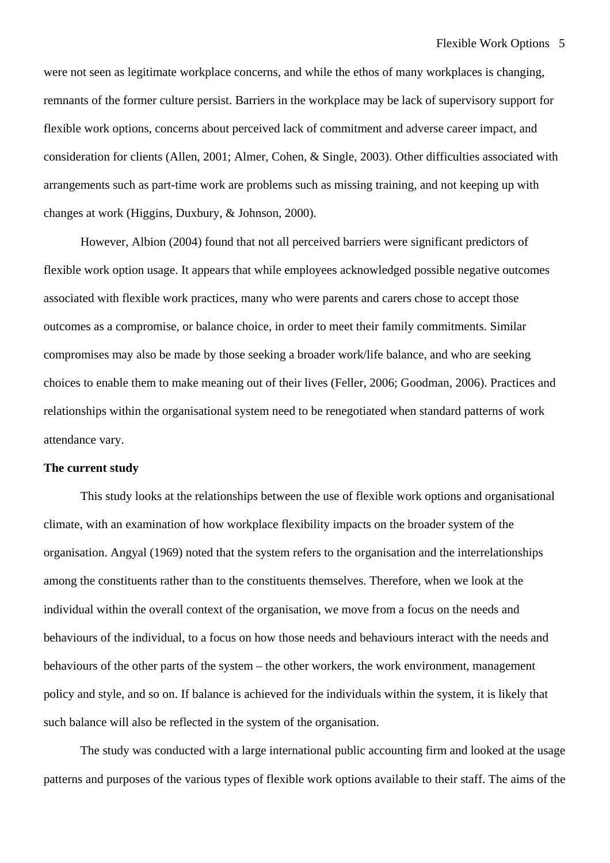were not seen as legitimate workplace concerns, and while the ethos of many workplaces is changing, remnants of the former culture persist. Barriers in the workplace may be lack of supervisory support for flexible work options, concerns about perceived lack of commitment and adverse career impact, and consideration for clients (Allen, 2001; Almer, Cohen, & Single, 2003). Other difficulties associated with arrangements such as part-time work are problems such as missing training, and not keeping up with changes at work (Higgins, Duxbury, & Johnson, 2000).

However, Albion (2004) found that not all perceived barriers were significant predictors of flexible work option usage. It appears that while employees acknowledged possible negative outcomes associated with flexible work practices, many who were parents and carers chose to accept those outcomes as a compromise, or balance choice, in order to meet their family commitments. Similar compromises may also be made by those seeking a broader work/life balance, and who are seeking choices to enable them to make meaning out of their lives (Feller, 2006; Goodman, 2006). Practices and relationships within the organisational system need to be renegotiated when standard patterns of work attendance vary.

## **The current study**

This study looks at the relationships between the use of flexible work options and organisational climate, with an examination of how workplace flexibility impacts on the broader system of the organisation. Angyal (1969) noted that the system refers to the organisation and the interrelationships among the constituents rather than to the constituents themselves. Therefore, when we look at the individual within the overall context of the organisation, we move from a focus on the needs and behaviours of the individual, to a focus on how those needs and behaviours interact with the needs and behaviours of the other parts of the system – the other workers, the work environment, management policy and style, and so on. If balance is achieved for the individuals within the system, it is likely that such balance will also be reflected in the system of the organisation.

The study was conducted with a large international public accounting firm and looked at the usage patterns and purposes of the various types of flexible work options available to their staff. The aims of the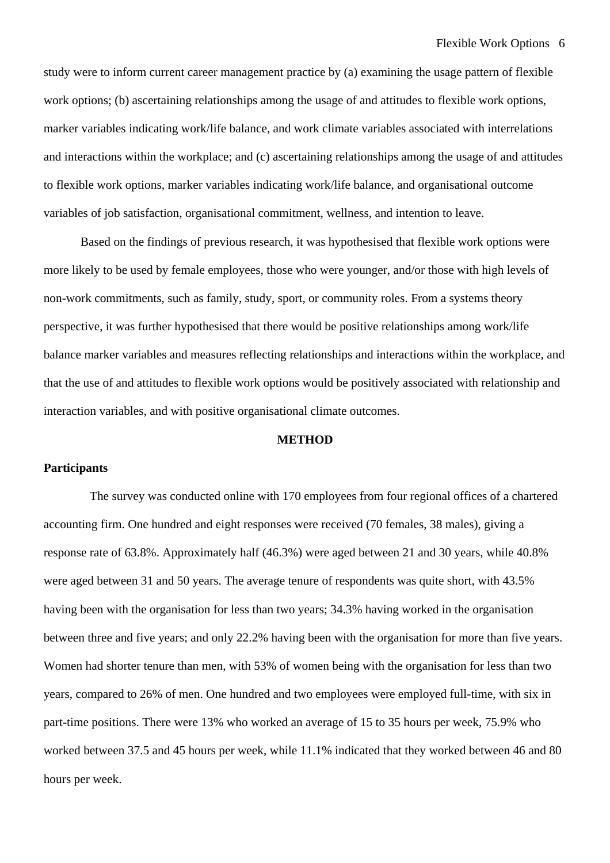study were to inform current career management practice by (a) examining the usage pattern of flexible work options; (b) ascertaining relationships among the usage of and attitudes to flexible work options, marker variables indicating work/life balance, and work climate variables associated with interrelations and interactions within the workplace; and (c) ascertaining relationships among the usage of and attitudes to flexible work options, marker variables indicating work/life balance, and organisational outcome variables of job satisfaction, organisational commitment, wellness, and intention to leave.

Based on the findings of previous research, it was hypothesised that flexible work options were more likely to be used by female employees, those who were younger, and/or those with high levels of non-work commitments, such as family, study, sport, or community roles. From a systems theory perspective, it was further hypothesised that there would be positive relationships among work/life balance marker variables and measures reflecting relationships and interactions within the workplace, and that the use of and attitudes to flexible work options would be positively associated with relationship and interaction variables, and with positive organisational climate outcomes.

## **METHOD**

## **Participants**

The survey was conducted online with 170 employees from four regional offices of a chartered accounting firm. One hundred and eight responses were received (70 females, 38 males), giving a response rate of 63.8%. Approximately half (46.3%) were aged between 21 and 30 years, while 40.8% were aged between 31 and 50 years. The average tenure of respondents was quite short, with 43.5% having been with the organisation for less than two years; 34.3% having worked in the organisation between three and five years; and only 22.2% having been with the organisation for more than five years. Women had shorter tenure than men, with 53% of women being with the organisation for less than two years, compared to 26% of men. One hundred and two employees were employed full-time, with six in part-time positions. There were 13% who worked an average of 15 to 35 hours per week, 75.9% who worked between 37.5 and 45 hours per week, while 11.1% indicated that they worked between 46 and 80 hours per week.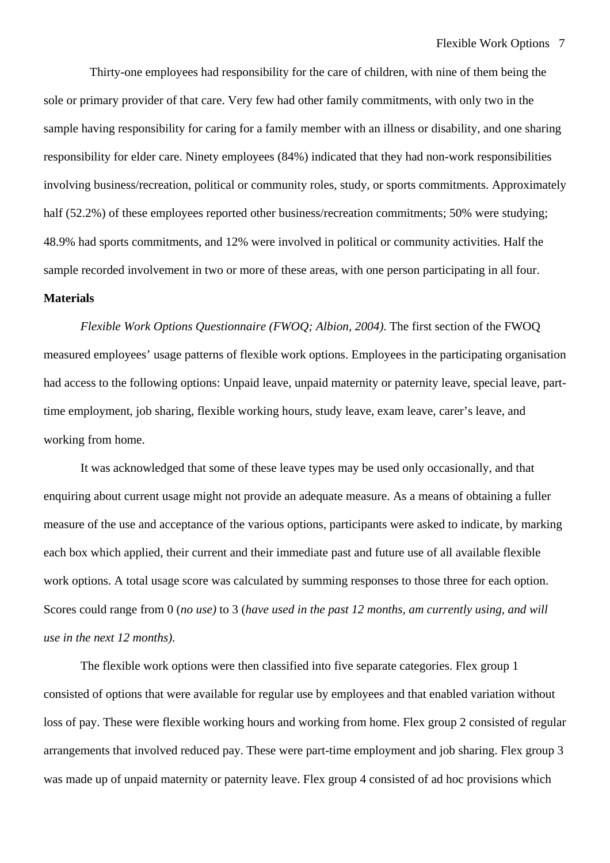Thirty-one employees had responsibility for the care of children, with nine of them being the sole or primary provider of that care. Very few had other family commitments, with only two in the sample having responsibility for caring for a family member with an illness or disability, and one sharing responsibility for elder care. Ninety employees (84%) indicated that they had non-work responsibilities involving business/recreation, political or community roles, study, or sports commitments. Approximately half (52.2%) of these employees reported other business/recreation commitments; 50% were studying; 48.9% had sports commitments, and 12% were involved in political or community activities. Half the sample recorded involvement in two or more of these areas, with one person participating in all four.

## **Materials**

*Flexible Work Options Questionnaire (FWOQ; Albion, 2004)*. The first section of the FWOQ measured employees' usage patterns of flexible work options. Employees in the participating organisation had access to the following options: Unpaid leave, unpaid maternity or paternity leave, special leave, parttime employment, job sharing, flexible working hours, study leave, exam leave, carer's leave, and working from home.

It was acknowledged that some of these leave types may be used only occasionally, and that enquiring about current usage might not provide an adequate measure. As a means of obtaining a fuller measure of the use and acceptance of the various options, participants were asked to indicate, by marking each box which applied, their current and their immediate past and future use of all available flexible work options. A total usage score was calculated by summing responses to those three for each option. Scores could range from 0 (*no use)* to 3 (*have used in the past 12 months, am currently using, and will use in the next 12 months).*

The flexible work options were then classified into five separate categories. Flex group 1 consisted of options that were available for regular use by employees and that enabled variation without loss of pay. These were flexible working hours and working from home. Flex group 2 consisted of regular arrangements that involved reduced pay. These were part-time employment and job sharing. Flex group 3 was made up of unpaid maternity or paternity leave. Flex group 4 consisted of ad hoc provisions which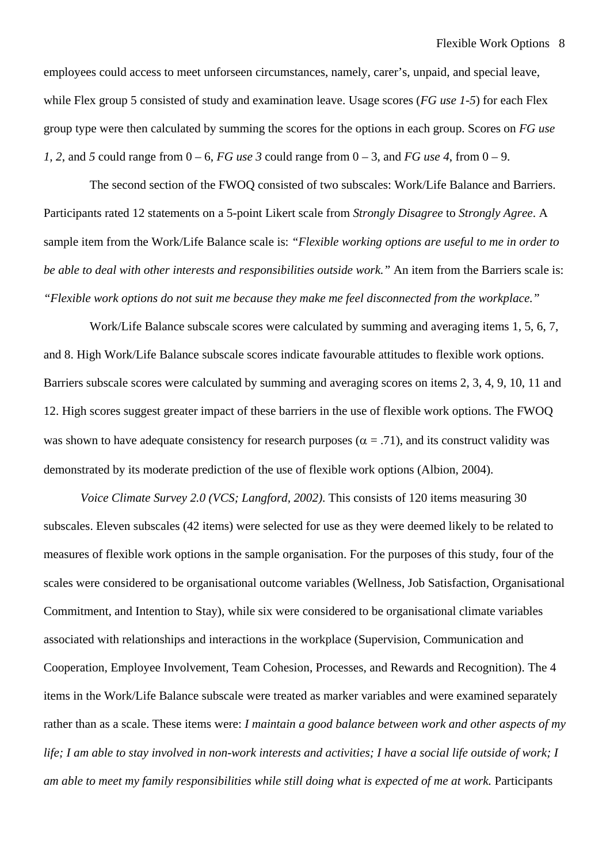employees could access to meet unforseen circumstances, namely, carer's, unpaid, and special leave, while Flex group 5 consisted of study and examination leave. Usage scores (*FG use 1-5*) for each Flex group type were then calculated by summing the scores for the options in each group. Scores on *FG use 1, 2, and 5* could range from  $0 - 6$ , *FG use 3* could range from  $0 - 3$ , and *FG use 4*, from  $0 - 9$ .

The second section of the FWOQ consisted of two subscales: Work/Life Balance and Barriers. Participants rated 12 statements on a 5-point Likert scale from *Strongly Disagree* to *Strongly Agree*. A sample item from the Work/Life Balance scale is: *"Flexible working options are useful to me in order to be able to deal with other interests and responsibilities outside work."* An item from the Barriers scale is: *"Flexible work options do not suit me because they make me feel disconnected from the workplace."*

Work/Life Balance subscale scores were calculated by summing and averaging items 1, 5, 6, 7, and 8. High Work/Life Balance subscale scores indicate favourable attitudes to flexible work options. Barriers subscale scores were calculated by summing and averaging scores on items 2, 3, 4, 9, 10, 11 and 12. High scores suggest greater impact of these barriers in the use of flexible work options. The FWOQ was shown to have adequate consistency for research purposes ( $\alpha$  = .71), and its construct validity was demonstrated by its moderate prediction of the use of flexible work options (Albion, 2004).

*Voice Climate Survey 2.0 (VCS; Langford, 2002)*. This consists of 120 items measuring 30 subscales. Eleven subscales (42 items) were selected for use as they were deemed likely to be related to measures of flexible work options in the sample organisation. For the purposes of this study, four of the scales were considered to be organisational outcome variables (Wellness, Job Satisfaction, Organisational Commitment, and Intention to Stay), while six were considered to be organisational climate variables associated with relationships and interactions in the workplace (Supervision, Communication and Cooperation, Employee Involvement, Team Cohesion, Processes, and Rewards and Recognition). The 4 items in the Work/Life Balance subscale were treated as marker variables and were examined separately rather than as a scale. These items were: *I maintain a good balance between work and other aspects of my life; I am able to stay involved in non-work interests and activities; I have a social life outside of work; I am able to meet my family responsibilities while still doing what is expected of me at work.* Participants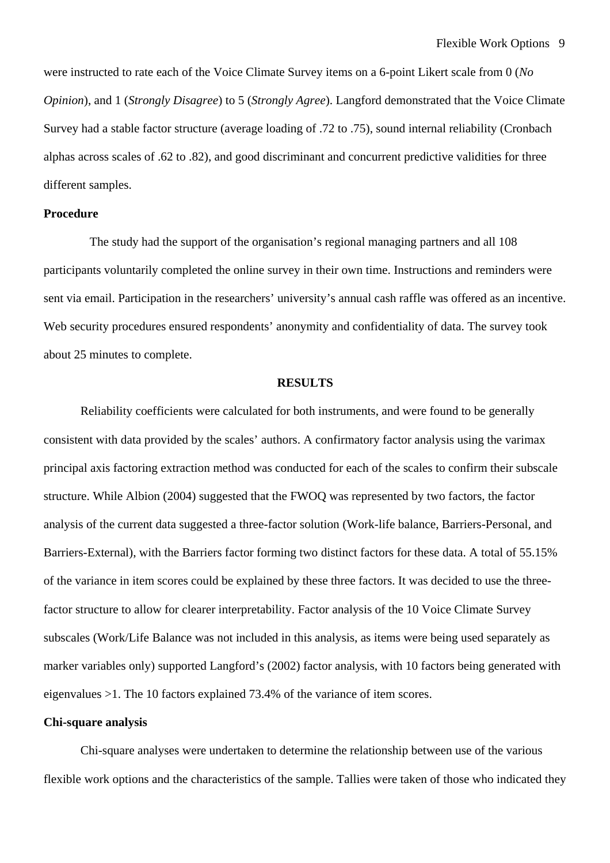were instructed to rate each of the Voice Climate Survey items on a 6-point Likert scale from 0 (*No Opinion*), and 1 (*Strongly Disagree*) to 5 (*Strongly Agree*). Langford demonstrated that the Voice Climate Survey had a stable factor structure (average loading of .72 to .75), sound internal reliability (Cronbach alphas across scales of .62 to .82), and good discriminant and concurrent predictive validities for three different samples.

## **Procedure**

The study had the support of the organisation's regional managing partners and all 108 participants voluntarily completed the online survey in their own time. Instructions and reminders were sent via email. Participation in the researchers' university's annual cash raffle was offered as an incentive. Web security procedures ensured respondents' anonymity and confidentiality of data. The survey took about 25 minutes to complete.

#### **RESULTS**

Reliability coefficients were calculated for both instruments, and were found to be generally consistent with data provided by the scales' authors. A confirmatory factor analysis using the varimax principal axis factoring extraction method was conducted for each of the scales to confirm their subscale structure. While Albion (2004) suggested that the FWOQ was represented by two factors, the factor analysis of the current data suggested a three-factor solution (Work-life balance, Barriers-Personal, and Barriers-External), with the Barriers factor forming two distinct factors for these data. A total of 55.15% of the variance in item scores could be explained by these three factors. It was decided to use the threefactor structure to allow for clearer interpretability. Factor analysis of the 10 Voice Climate Survey subscales (Work/Life Balance was not included in this analysis, as items were being used separately as marker variables only) supported Langford's (2002) factor analysis, with 10 factors being generated with eigenvalues >1. The 10 factors explained 73.4% of the variance of item scores.

### **Chi-square analysis**

Chi-square analyses were undertaken to determine the relationship between use of the various flexible work options and the characteristics of the sample. Tallies were taken of those who indicated they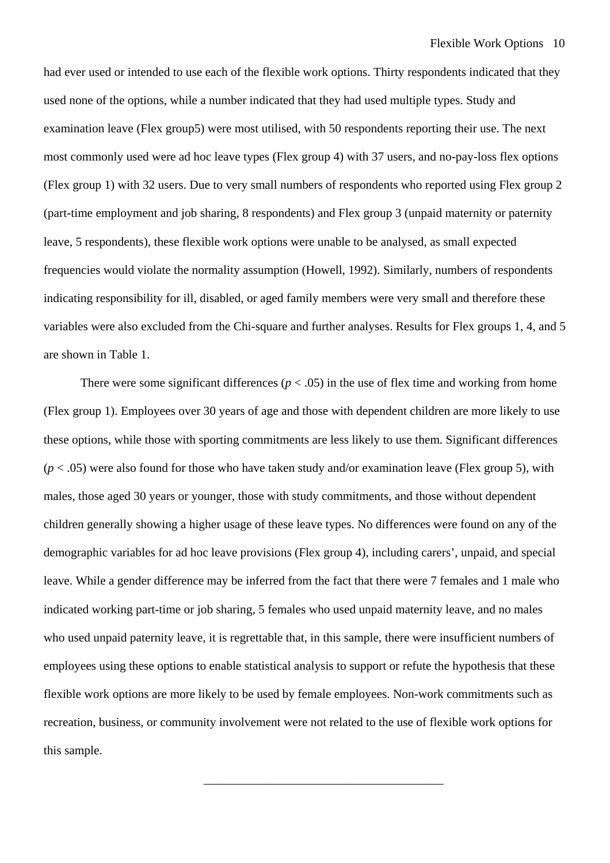had ever used or intended to use each of the flexible work options. Thirty respondents indicated that they used none of the options, while a number indicated that they had used multiple types. Study and examination leave (Flex group5) were most utilised, with 50 respondents reporting their use. The next most commonly used were ad hoc leave types (Flex group 4) with 37 users, and no-pay-loss flex options (Flex group 1) with 32 users. Due to very small numbers of respondents who reported using Flex group 2 (part-time employment and job sharing, 8 respondents) and Flex group 3 (unpaid maternity or paternity leave, 5 respondents), these flexible work options were unable to be analysed, as small expected frequencies would violate the normality assumption (Howell, 1992). Similarly, numbers of respondents indicating responsibility for ill, disabled, or aged family members were very small and therefore these variables were also excluded from the Chi-square and further analyses. Results for Flex groups 1, 4, and 5 are shown in Table 1.

There were some significant differences ( $p < .05$ ) in the use of flex time and working from home (Flex group 1). Employees over 30 years of age and those with dependent children are more likely to use these options, while those with sporting commitments are less likely to use them. Significant differences  $(p < .05)$  were also found for those who have taken study and/or examination leave (Flex group 5), with males, those aged 30 years or younger, those with study commitments, and those without dependent children generally showing a higher usage of these leave types. No differences were found on any of the demographic variables for ad hoc leave provisions (Flex group 4), including carers', unpaid, and special leave. While a gender difference may be inferred from the fact that there were 7 females and 1 male who indicated working part-time or job sharing, 5 females who used unpaid maternity leave, and no males who used unpaid paternity leave, it is regrettable that, in this sample, there were insufficient numbers of employees using these options to enable statistical analysis to support or refute the hypothesis that these flexible work options are more likely to be used by female employees. Non-work commitments such as recreation, business, or community involvement were not related to the use of flexible work options for this sample.

\_\_\_\_\_\_\_\_\_\_\_\_\_\_\_\_\_\_\_\_\_\_\_\_\_\_\_\_\_\_\_\_\_\_\_\_\_\_\_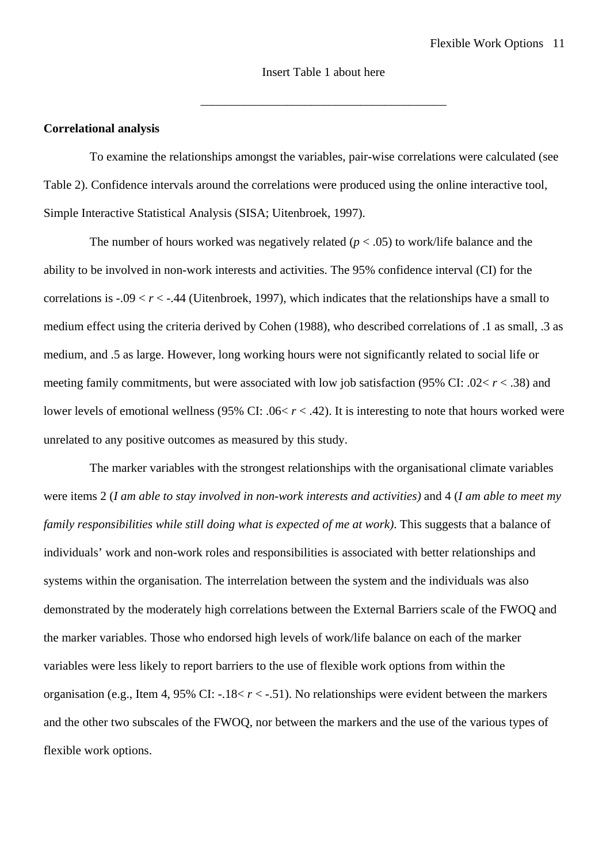\_\_\_\_\_\_\_\_\_\_\_\_\_\_\_\_\_\_\_\_\_\_\_\_\_\_\_\_\_\_\_\_\_\_\_\_\_\_\_\_

### **Correlational analysis**

To examine the relationships amongst the variables, pair-wise correlations were calculated (see Table 2). Confidence intervals around the correlations were produced using the online interactive tool, Simple Interactive Statistical Analysis (SISA; Uitenbroek, 1997).

The number of hours worked was negatively related  $(p < .05)$  to work/life balance and the ability to be involved in non-work interests and activities. The 95% confidence interval (CI) for the correlations is  $-0.09 < r < -0.44$  (Uitenbroek, 1997), which indicates that the relationships have a small to medium effect using the criteria derived by Cohen (1988), who described correlations of .1 as small, .3 as medium, and .5 as large. However, long working hours were not significantly related to social life or meeting family commitments, but were associated with low job satisfaction (95% CI: .02< *r* < .38) and lower levels of emotional wellness (95% CI: .06< *r* < .42). It is interesting to note that hours worked were unrelated to any positive outcomes as measured by this study.

The marker variables with the strongest relationships with the organisational climate variables were items 2 (*I am able to stay involved in non-work interests and activities)* and 4 (*I am able to meet my family responsibilities while still doing what is expected of me at work)*. This suggests that a balance of individuals' work and non-work roles and responsibilities is associated with better relationships and systems within the organisation. The interrelation between the system and the individuals was also demonstrated by the moderately high correlations between the External Barriers scale of the FWOQ and the marker variables. Those who endorsed high levels of work/life balance on each of the marker variables were less likely to report barriers to the use of flexible work options from within the organisation (e.g., Item 4, 95% CI: -.18< *r* < -.51). No relationships were evident between the markers and the other two subscales of the FWOQ, nor between the markers and the use of the various types of flexible work options.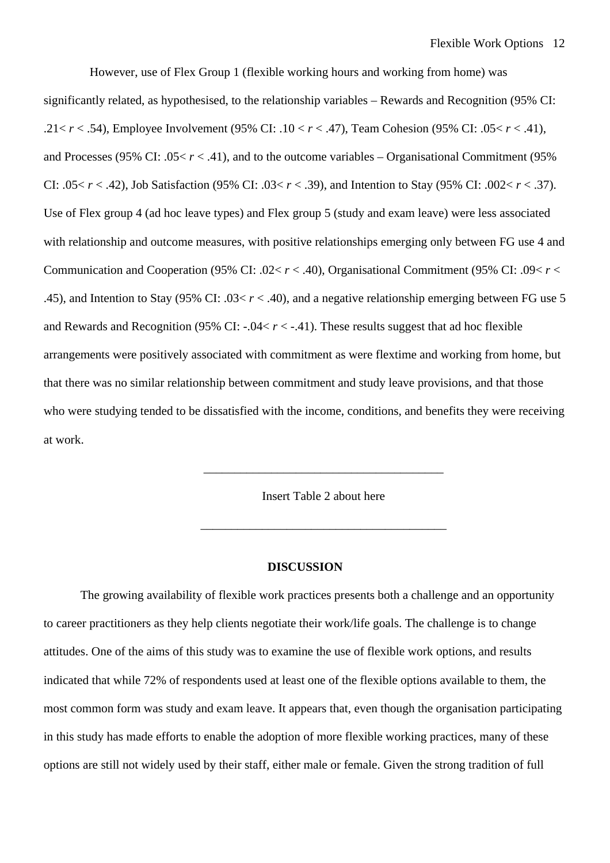However, use of Flex Group 1 (flexible working hours and working from home) was significantly related, as hypothesised, to the relationship variables – Rewards and Recognition (95% CI: .21< *r* < .54), Employee Involvement (95% CI: .10 < *r* < .47), Team Cohesion (95% CI: .05< *r* < .41), and Processes (95% CI: .05 $< r < .41$ ), and to the outcome variables – Organisational Commitment (95%) CI: .05< *r* < .42), Job Satisfaction (95% CI: .03< *r* < .39), and Intention to Stay (95% CI: .002< *r* < .37). Use of Flex group 4 (ad hoc leave types) and Flex group 5 (study and exam leave) were less associated with relationship and outcome measures, with positive relationships emerging only between FG use 4 and Communication and Cooperation (95% CI: .02< *r* < .40), Organisational Commitment (95% CI: .09< *r* < .45), and Intention to Stay (95% CI: .03< *r* < .40), and a negative relationship emerging between FG use 5 and Rewards and Recognition (95% CI: -.04< *r* < -.41). These results suggest that ad hoc flexible arrangements were positively associated with commitment as were flextime and working from home, but that there was no similar relationship between commitment and study leave provisions, and that those who were studying tended to be dissatisfied with the income, conditions, and benefits they were receiving at work.

Insert Table 2 about here

\_\_\_\_\_\_\_\_\_\_\_\_\_\_\_\_\_\_\_\_\_\_\_\_\_\_\_\_\_\_\_\_\_\_\_\_\_\_\_\_

\_\_\_\_\_\_\_\_\_\_\_\_\_\_\_\_\_\_\_\_\_\_\_\_\_\_\_\_\_\_\_\_\_\_\_\_\_\_\_

#### **DISCUSSION**

The growing availability of flexible work practices presents both a challenge and an opportunity to career practitioners as they help clients negotiate their work/life goals. The challenge is to change attitudes. One of the aims of this study was to examine the use of flexible work options, and results indicated that while 72% of respondents used at least one of the flexible options available to them, the most common form was study and exam leave. It appears that, even though the organisation participating in this study has made efforts to enable the adoption of more flexible working practices, many of these options are still not widely used by their staff, either male or female. Given the strong tradition of full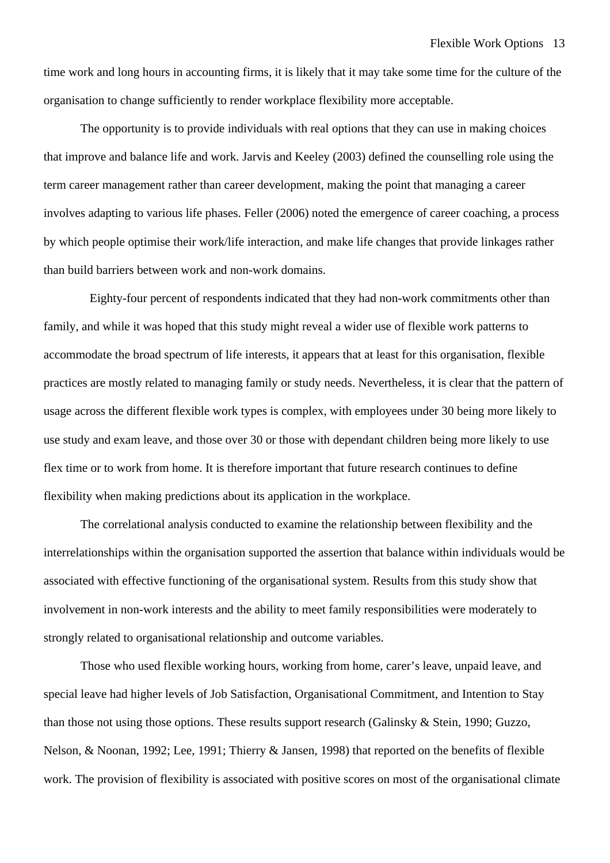time work and long hours in accounting firms, it is likely that it may take some time for the culture of the organisation to change sufficiently to render workplace flexibility more acceptable.

The opportunity is to provide individuals with real options that they can use in making choices that improve and balance life and work. Jarvis and Keeley (2003) defined the counselling role using the term career management rather than career development, making the point that managing a career involves adapting to various life phases. Feller (2006) noted the emergence of career coaching, a process by which people optimise their work/life interaction, and make life changes that provide linkages rather than build barriers between work and non-work domains.

Eighty-four percent of respondents indicated that they had non-work commitments other than family, and while it was hoped that this study might reveal a wider use of flexible work patterns to accommodate the broad spectrum of life interests, it appears that at least for this organisation, flexible practices are mostly related to managing family or study needs. Nevertheless, it is clear that the pattern of usage across the different flexible work types is complex, with employees under 30 being more likely to use study and exam leave, and those over 30 or those with dependant children being more likely to use flex time or to work from home. It is therefore important that future research continues to define flexibility when making predictions about its application in the workplace.

The correlational analysis conducted to examine the relationship between flexibility and the interrelationships within the organisation supported the assertion that balance within individuals would be associated with effective functioning of the organisational system. Results from this study show that involvement in non-work interests and the ability to meet family responsibilities were moderately to strongly related to organisational relationship and outcome variables.

Those who used flexible working hours, working from home, carer's leave, unpaid leave, and special leave had higher levels of Job Satisfaction, Organisational Commitment, and Intention to Stay than those not using those options. These results support research (Galinsky & Stein, 1990; Guzzo, Nelson, & Noonan, 1992; Lee, 1991; Thierry & Jansen, 1998) that reported on the benefits of flexible work. The provision of flexibility is associated with positive scores on most of the organisational climate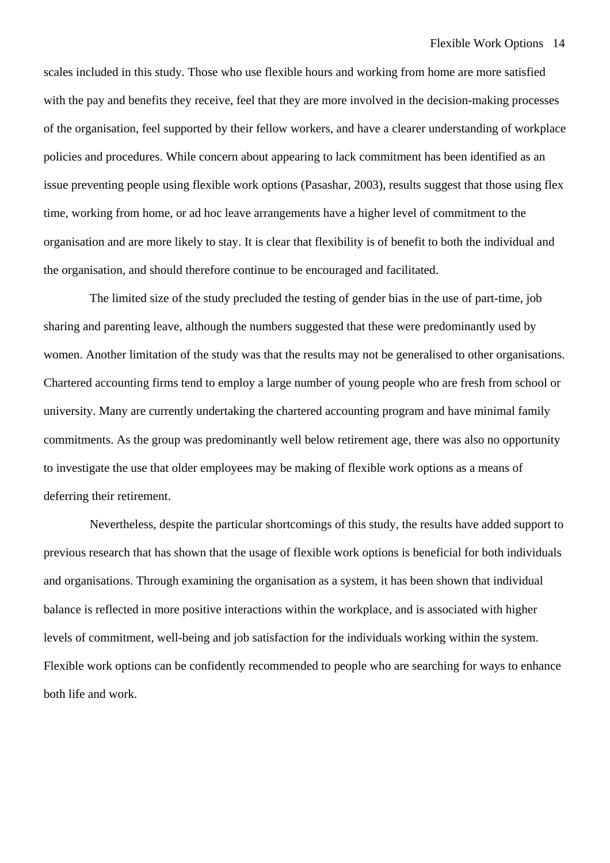scales included in this study. Those who use flexible hours and working from home are more satisfied with the pay and benefits they receive, feel that they are more involved in the decision-making processes of the organisation, feel supported by their fellow workers, and have a clearer understanding of workplace policies and procedures. While concern about appearing to lack commitment has been identified as an issue preventing people using flexible work options (Pasashar, 2003), results suggest that those using flex time, working from home, or ad hoc leave arrangements have a higher level of commitment to the organisation and are more likely to stay. It is clear that flexibility is of benefit to both the individual and the organisation, and should therefore continue to be encouraged and facilitated.

The limited size of the study precluded the testing of gender bias in the use of part-time, job sharing and parenting leave, although the numbers suggested that these were predominantly used by women. Another limitation of the study was that the results may not be generalised to other organisations. Chartered accounting firms tend to employ a large number of young people who are fresh from school or university. Many are currently undertaking the chartered accounting program and have minimal family commitments. As the group was predominantly well below retirement age, there was also no opportunity to investigate the use that older employees may be making of flexible work options as a means of deferring their retirement.

Nevertheless, despite the particular shortcomings of this study, the results have added support to previous research that has shown that the usage of flexible work options is beneficial for both individuals and organisations. Through examining the organisation as a system, it has been shown that individual balance is reflected in more positive interactions within the workplace, and is associated with higher levels of commitment, well-being and job satisfaction for the individuals working within the system. Flexible work options can be confidently recommended to people who are searching for ways to enhance both life and work.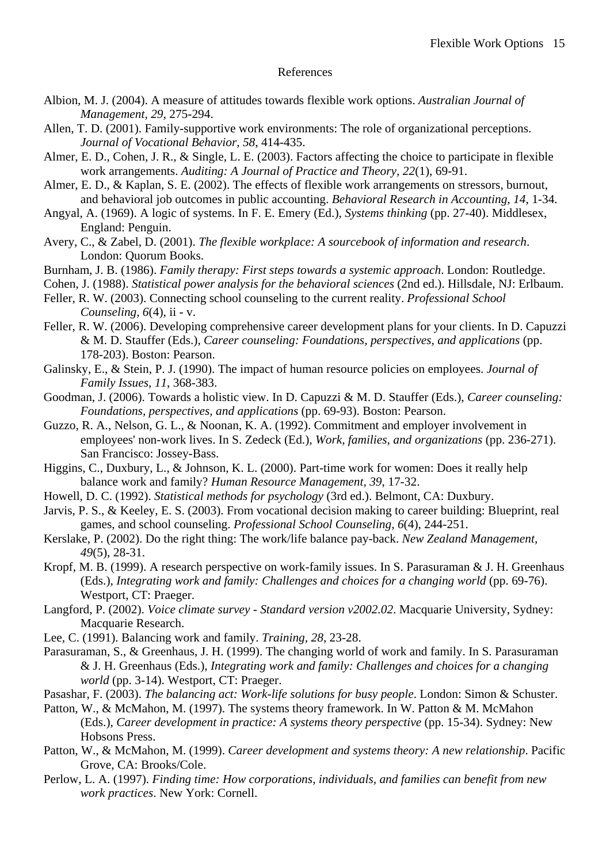### References

- Albion, M. J. (2004). A measure of attitudes towards flexible work options. *Australian Journal of Management, 29*, 275-294.
- Allen, T. D. (2001). Family-supportive work environments: The role of organizational perceptions. *Journal of Vocational Behavior, 58*, 414-435.
- Almer, E. D., Cohen, J. R., & Single, L. E. (2003). Factors affecting the choice to participate in flexible work arrangements. *Auditing: A Journal of Practice and Theory, 22*(1), 69-91.
- Almer, E. D., & Kaplan, S. E. (2002). The effects of flexible work arrangements on stressors, burnout, and behavioral job outcomes in public accounting. *Behavioral Research in Accounting, 14*, 1-34.
- Angyal, A. (1969). A logic of systems. In F. E. Emery (Ed.), *Systems thinking* (pp. 27-40). Middlesex, England: Penguin.
- Avery, C., & Zabel, D. (2001). *The flexible workplace: A sourcebook of information and research*. London: Quorum Books.
- Burnham, J. B. (1986). *Family therapy: First steps towards a systemic approach*. London: Routledge.
- Cohen, J. (1988). *Statistical power analysis for the behavioral sciences* (2nd ed.). Hillsdale, NJ: Erlbaum.
- Feller, R. W. (2003). Connecting school counseling to the current reality. *Professional School Counseling, 6*(4), ii - v.
- Feller, R. W. (2006). Developing comprehensive career development plans for your clients. In D. Capuzzi & M. D. Stauffer (Eds.), *Career counseling: Foundations, perspectives, and applications* (pp. 178-203). Boston: Pearson.
- Galinsky, E., & Stein, P. J. (1990). The impact of human resource policies on employees. *Journal of Family Issues, 11*, 368-383.
- Goodman, J. (2006). Towards a holistic view. In D. Capuzzi & M. D. Stauffer (Eds.), *Career counseling: Foundations, perspectives, and applications* (pp. 69-93). Boston: Pearson.
- Guzzo, R. A., Nelson, G. L., & Noonan, K. A. (1992). Commitment and employer involvement in employees' non-work lives. In S. Zedeck (Ed.), *Work, families, and organizations* (pp. 236-271). San Francisco: Jossey-Bass.
- Higgins, C., Duxbury, L., & Johnson, K. L. (2000). Part-time work for women: Does it really help balance work and family? *Human Resource Management, 39*, 17-32.
- Howell, D. C. (1992). *Statistical methods for psychology* (3rd ed.). Belmont, CA: Duxbury.
- Jarvis, P. S., & Keeley, E. S. (2003). From vocational decision making to career building: Blueprint, real games, and school counseling. *Professional School Counseling, 6*(4), 244-251.
- Kerslake, P. (2002). Do the right thing: The work/life balance pay-back. *New Zealand Management, 49*(5), 28-31.
- Kropf, M. B. (1999). A research perspective on work-family issues. In S. Parasuraman & J. H. Greenhaus (Eds.), *Integrating work and family: Challenges and choices for a changing world* (pp. 69-76). Westport, CT: Praeger.
- Langford, P. (2002). *Voice climate survey Standard version v2002.02*. Macquarie University, Sydney: Macquarie Research.
- Lee, C. (1991). Balancing work and family. *Training, 28*, 23-28.
- Parasuraman, S., & Greenhaus, J. H. (1999). The changing world of work and family. In S. Parasuraman & J. H. Greenhaus (Eds.), *Integrating work and family: Challenges and choices for a changing world* (pp. 3-14). Westport, CT: Praeger.
- Pasashar, F. (2003). *The balancing act: Work-life solutions for busy people*. London: Simon & Schuster.
- Patton, W., & McMahon, M. (1997). The systems theory framework. In W. Patton & M. McMahon (Eds.), *Career development in practice: A systems theory perspective* (pp. 15-34). Sydney: New Hobsons Press.
- Patton, W., & McMahon, M. (1999). *Career development and systems theory: A new relationship*. Pacific Grove, CA: Brooks/Cole.
- Perlow, L. A. (1997). *Finding time: How corporations, individuals, and families can benefit from new work practices*. New York: Cornell.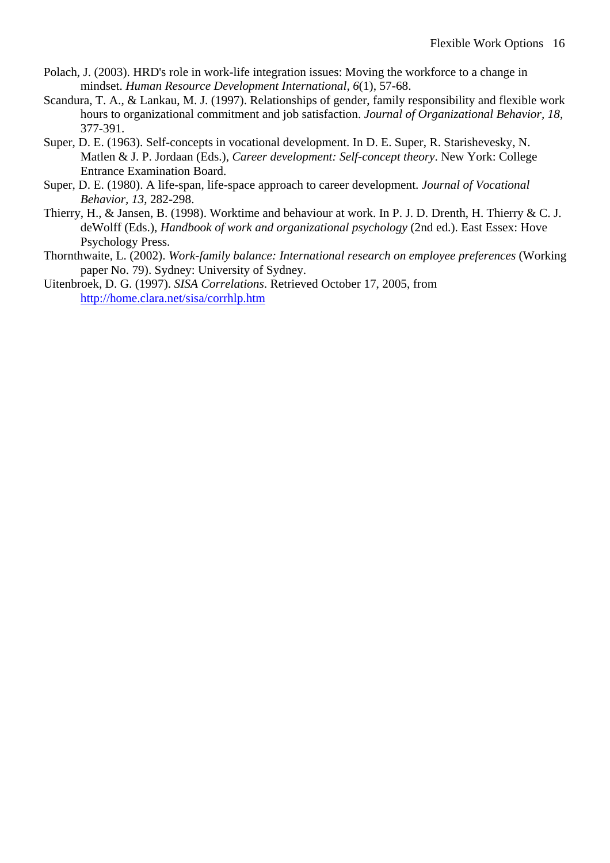- Polach, J. (2003). HRD's role in work-life integration issues: Moving the workforce to a change in mindset. *Human Resource Development International, 6*(1), 57-68.
- Scandura, T. A., & Lankau, M. J. (1997). Relationships of gender, family responsibility and flexible work hours to organizational commitment and job satisfaction. *Journal of Organizational Behavior, 18*, 377-391.
- Super, D. E. (1963). Self-concepts in vocational development. In D. E. Super, R. Starishevesky, N. Matlen & J. P. Jordaan (Eds.), *Career development: Self-concept theory*. New York: College Entrance Examination Board.
- Super, D. E. (1980). A life-span, life-space approach to career development. *Journal of Vocational Behavior, 13*, 282-298.
- Thierry, H., & Jansen, B. (1998). Worktime and behaviour at work. In P. J. D. Drenth, H. Thierry & C. J. deWolff (Eds.), *Handbook of work and organizational psychology* (2nd ed.). East Essex: Hove Psychology Press.
- Thornthwaite, L. (2002). *Work-family balance: International research on employee preferences* (Working paper No. 79). Sydney: University of Sydney.
- Uitenbroek, D. G. (1997). *SISA Correlations*. Retrieved October 17, 2005, from <http://home.clara.net/sisa/corrhlp.htm>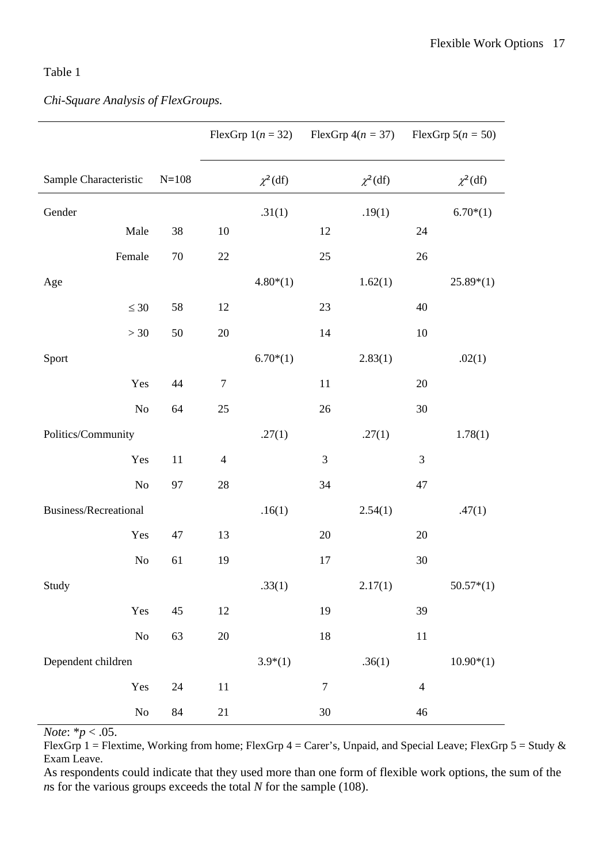## Table 1

## *Chi-Square Analysis of FlexGroups.*

|                              |           |                  |              |                  | FlexGrp $1(n = 32)$ FlexGrp $4(n = 37)$ |                | FlexGrp $5(n = 50)$ |
|------------------------------|-----------|------------------|--------------|------------------|-----------------------------------------|----------------|---------------------|
| Sample Characteristic        | $N = 108$ |                  | $\chi^2(df)$ |                  | $\chi^2(df)$                            |                | $\chi^2(df)$        |
| Gender                       |           |                  | .31(1)       |                  | .19(1)                                  |                | $6.70*(1)$          |
| Male                         | 38        | 10               |              | 12               |                                         | 24             |                     |
| Female                       | $70\,$    | 22               |              | 25               |                                         | 26             |                     |
| Age                          |           |                  | $4.80*(1)$   |                  | 1.62(1)                                 |                | $25.89*(1)$         |
| $\leq 30$                    | 58        | 12               |              | 23               |                                         | 40             |                     |
| $>30$                        | 50        | $20\,$           |              | 14               |                                         | 10             |                     |
| Sport                        |           |                  | $6.70*(1)$   |                  | 2.83(1)                                 |                | .02(1)              |
| Yes                          | 44        | $\boldsymbol{7}$ |              | 11               |                                         | 20             |                     |
| No                           | 64        | 25               |              | 26               |                                         | 30             |                     |
| Politics/Community           |           |                  | .27(1)       |                  | .27(1)                                  |                | 1.78(1)             |
| Yes                          | 11        | $\overline{4}$   |              | 3                |                                         | 3              |                     |
| N <sub>o</sub>               | 97        | 28               |              | 34               |                                         | 47             |                     |
| <b>Business/Recreational</b> |           |                  | .16(1)       |                  | 2.54(1)                                 |                | .47(1)              |
| Yes                          | 47        | 13               |              | 20               |                                         | 20             |                     |
| No                           | 61        | 19               |              | 17               |                                         | 30             |                     |
| Study                        |           |                  | .33(1)       |                  | 2.17(1)                                 |                | $50.57*(1)$         |
| Yes                          | 45        | $12\,$           |              | 19               |                                         | 39             |                     |
| ${\rm No}$                   | 63        | $20\,$           |              | 18               |                                         | 11             |                     |
| Dependent children           |           |                  | $3.9*(1)$    |                  | .36(1)                                  |                | $10.90*(1)$         |
| Yes                          | 24        | 11               |              | $\boldsymbol{7}$ |                                         | $\overline{4}$ |                     |
| $\rm No$                     | 84        | 21               |              | $30\,$           |                                         | 46             |                     |

*Note*: \**p* < .05.

FlexGrp 1 = Flextime, Working from home; FlexGrp 4 = Carer's, Unpaid, and Special Leave; FlexGrp 5 = Study & Exam Leave.

As respondents could indicate that they used more than one form of flexible work options, the sum of the *ns* for the various groups exceeds the total *N* for the sample (108).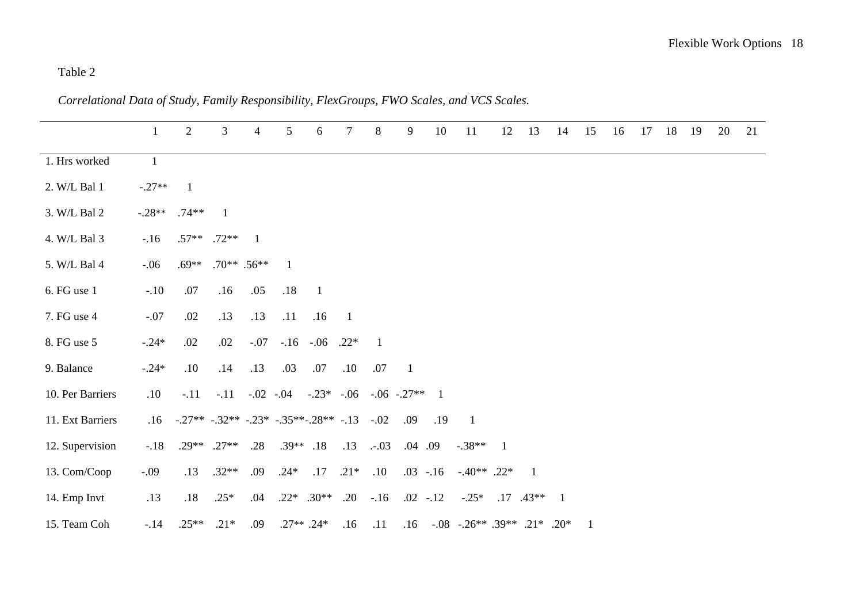## Table 2

1 2 3 4 5 6 7 8 9 10 11 12 13 14 15 16 17 18 19 20 21 1. Hrs worked 1 2. W/L Bal 1  $-.27**$  1 3. W/L Bal 2 -.28<sup>\*\*</sup> .74<sup>\*\*</sup> 1 4. W/L Bal 3 -.16 .57\*\* .72\*\* 1 5. W/L Bal 4 -.06 .69\*\* .70\*\* .56\*\* 1 6. FG use 1 -.10 .07 .16 .05 .18 1 7. FG use 4 -.07 .02 .13 .13 .11 .16 1 8. FG use 5 -.24\* .02 .02 -.07 -.16 -.06 .22\* 1 9. Balance -.24\* .10 .14 .13 .03 .07 .10 .07 1 10. Per Barriers .10 -.11 -.11 -.02 -.04 -.23\* -.06 -.06 -.27\*\* 1 11. Ext Barriers .16 -.27\*\* -.32\*\* -.23\* -.35\*\*-.28\*\* -.13 -.02 .09 .19 1 12. Supervision -.18 .29\*\* .27\*\* .28 .39\*\* .18 .13 .-.03 .04 .09 -.38\*\* 1 13. Com/Coop -.09 .13 .32\*\* .09 .24\* .17 .21\* .10 .03 -.16 -.40\*\* .22\* 1 14. Emp Invt .13 .18 .25\* .04 .22\* .30\*\* .20 -.16 .02 -.12 -.25\* .17 .43\*\* 1 15. Team Coh -.14 .25<sup>\*\*</sup> .21<sup>\*</sup> .09 .27<sup>\*\*</sup> .24<sup>\*</sup>  $.16$   $.11$   $.16$   $.08$   $.26**$   $.39**$   $.21*$   $.20*$  1

*Correlational Data of Study, Family Responsibility, FlexGroups, FWO Scales, and VCS Scales.*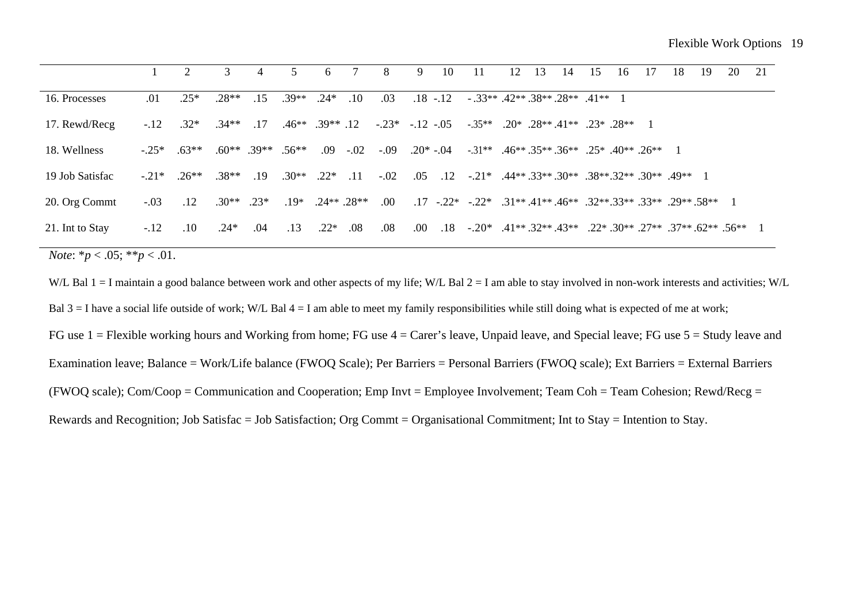|         |       |                        | 4                           |                             | -6                      |              | 8                        | 9                      | 10         | -11         | 12 | 13 | 14 | 15 | -16 | 17                            | 18                                                                                           | 19                                                                                     | 20                                                                                                                                 | 21                                                                                                                                                                      |
|---------|-------|------------------------|-----------------------------|-----------------------------|-------------------------|--------------|--------------------------|------------------------|------------|-------------|----|----|----|----|-----|-------------------------------|----------------------------------------------------------------------------------------------|----------------------------------------------------------------------------------------|------------------------------------------------------------------------------------------------------------------------------------|-------------------------------------------------------------------------------------------------------------------------------------------------------------------------|
| .01     | $25*$ | $.28**$                | .15                         | $.39**$                     | $.24*$                  | .10          | .03                      |                        |            |             |    |    |    |    |     |                               |                                                                                              |                                                                                        |                                                                                                                                    |                                                                                                                                                                         |
|         |       |                        |                             |                             |                         |              |                          |                        |            |             |    |    |    |    |     |                               |                                                                                              |                                                                                        |                                                                                                                                    |                                                                                                                                                                         |
| $-.25*$ |       |                        |                             |                             |                         |              |                          |                        |            |             |    |    |    |    |     |                               |                                                                                              |                                                                                        |                                                                                                                                    |                                                                                                                                                                         |
|         |       |                        | .19                         |                             |                         |              |                          |                        |            |             |    |    |    |    |     |                               |                                                                                              |                                                                                        |                                                                                                                                    |                                                                                                                                                                         |
| $-.03$  | .12   |                        |                             |                             |                         |              | $.00\,$                  |                        |            |             |    |    |    |    |     |                               |                                                                                              |                                                                                        |                                                                                                                                    |                                                                                                                                                                         |
| $-.12$  | .10   | $.24*$                 | .04                         | .13                         | $.22*$                  | .08          | .08                      | $.00\,$                |            |             |    |    |    |    |     |                               |                                                                                              |                                                                                        |                                                                                                                                    |                                                                                                                                                                         |
|         |       | $-12$ $.32*$<br>$63**$ | $-21^*$ $26^{**}$ $38^{**}$ | $.34**$ 17<br>$.30**$ . 23* | $.60^{***}$ .39** .56** | $.30**$ .22* | $.09 - .02$<br>$\sim$ 11 | $.19*$ $.24**$ $.28**$ | $-.02$ .05 | $.18 - .12$ |    |    |    |    |     | $-33**$ 42** 38** 28** 41** 1 | $.46**$ $.39**$ $.12$ $-.23*$ $-.12$ $-.05$ $-.35**$ $.20*$ $.28**$ $.41**$ $.23*$ $.28**$ 1 | $-0.09$ $0.20*$ $0.04$ $0.31**$ $0.46**$ $0.35**$ $0.36**$ $0.25*$ $0.40**$ $0.26**$ 1 | $.12 \quad .21^* \quad .44^{**} \quad .33^{**} \quad .30^{**} \quad .38^{**} \quad .32^{**} \quad .30^{**} \quad .49^{**} \quad 1$ | $17 - 22^* - 31^{**} - 41^{**} - 46^{**} - 32^{**} - 33^{**} - 33^{**} - 29^{**} - 58^{**} - 1$<br>.18 $-0.20^*$ .41** .32** .43** .22* .30** .27** .37** .62** .56** 1 |

*Note*:  $*_{p}$  < .05;  $*_{p}$  < .01.

W/L Bal  $1 = I$  maintain a good balance between work and other aspects of my life; W/L Bal  $2 = I$  am able to stay involved in non-work interests and activities; W/L Bal  $3 = I$  have a social life outside of work; W/L Bal  $4 = I$  am able to meet my family responsibilities while still doing what is expected of me at work; FG use 1 = Flexible working hours and Working from home; FG use 4 = Carer's leave, Unpaid leave, and Special leave; FG use 5 = Study leave and Examination leave; Balance = Work/Life balance (FWOQ Scale); Per Barriers = Personal Barriers (FWOQ scale); Ext Barriers = External Barriers (FWOQ scale);  $Com/Coop = Communication$  and Cooperation; Emp Invt = Employee Involvement; Team Coh = Team Cohesion; Rewd/Recg = Rewards and Recognition; Job Satisfac = Job Satisfaction; Org Commt = Organisational Commitment; Int to Stay = Intention to Stay.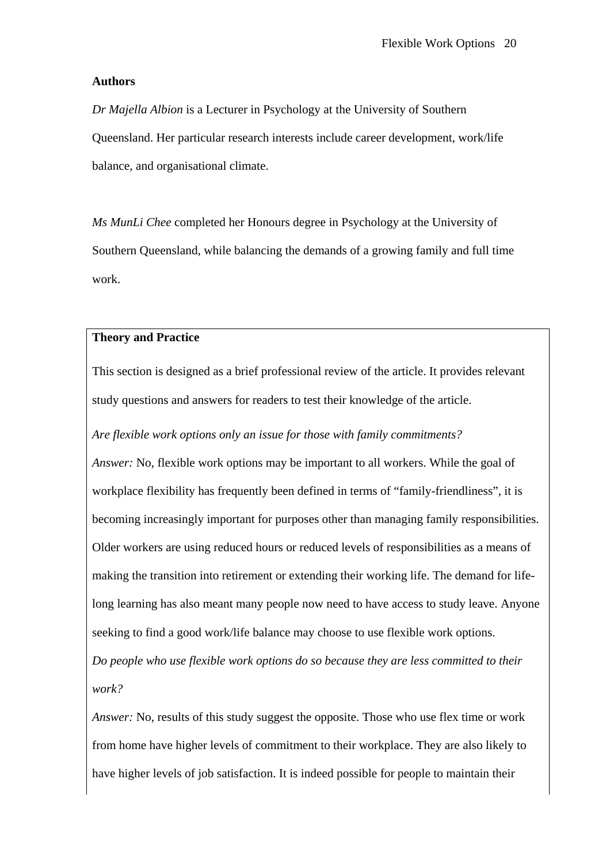### **Authors**

*Dr Majella Albion* is a Lecturer in Psychology at the University of Southern Queensland. Her particular research interests include career development, work/life balance, and organisational climate.

*Ms MunLi Chee* completed her Honours degree in Psychology at the University of Southern Queensland, while balancing the demands of a growing family and full time work.

### **Theory and Practice**

This section is designed as a brief professional review of the article. It provides relevant study questions and answers for readers to test their knowledge of the article.

*Are flexible work options only an issue for those with family commitments?* 

*Answer:* No, flexible work options may be important to all workers. While the goal of workplace flexibility has frequently been defined in terms of "family-friendliness", it is becoming increasingly important for purposes other than managing family responsibilities. Older workers are using reduced hours or reduced levels of responsibilities as a means of making the transition into retirement or extending their working life. The demand for lifelong learning has also meant many people now need to have access to study leave. Anyone seeking to find a good work/life balance may choose to use flexible work options.

*Do people who use flexible work options do so because they are less committed to their work?* 

*Answer:* No, results of this study suggest the opposite. Those who use flex time or work from home have higher levels of commitment to their workplace. They are also likely to have higher levels of job satisfaction. It is indeed possible for people to maintain their